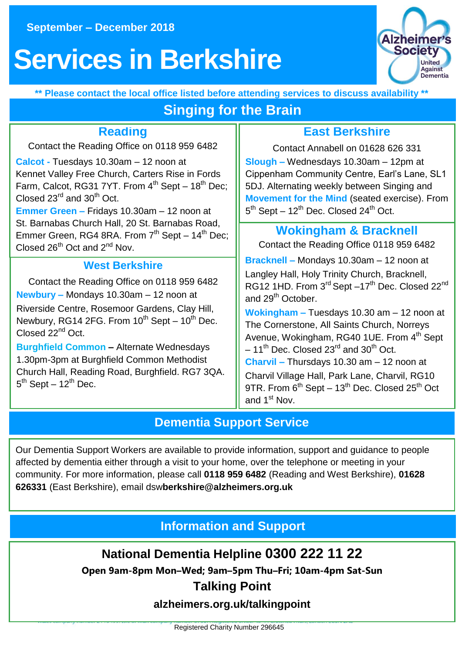# **Se[rvices in Berk](file://///tasdtcfil01/groups/Reading/Berkshire%20Services/Activity%20sheets/drafts/Berkshire%20Activity%20Sheet%20Aug-Dec%202017.docx)shire Berk**



**\*\* Please contact the local office listed before attending services to discuss availability \*\***

# **Singing for the Brain**

# **Reading**

Contact the Reading Office on 0118 959 6482

**Calcot -** Tuesdays 10.30am – 12 noon at Kennet Valley Free Church, Carters Rise in Fords Farm, Calcot, RG31 7YT, From  $4^{th}$  Sept –  $18^{th}$  Dec; Closed  $23^{\text{rd}}$  and  $30^{\text{th}}$  Oct.

**Emmer Green –** Fridays 10.30am – 12 noon at St. Barnabas Church Hall, 20 St. Barnabas Road, Emmer Green, RG4 8RA. From  $7<sup>th</sup>$  Sept – 14<sup>th</sup> Dec; Closed  $26^{th}$  Oct and  $2^{nd}$  Nov.

#### **West Berkshire**

Contact the Reading Office on 0118 959 6482 **Newbury –** Mondays 10.30am – 12 noon at Riverside Centre, Rosemoor Gardens, Clay Hill, Newbury, RG14 2FG. From  $10^{th}$  Sept –  $10^{th}$  Dec. Closed 22<sup>nd</sup> Oct.

**Burghfield Common –** Alternate Wednesdays 1.30pm-3pm at Burghfield Common Methodist Church Hall, Reading Road, Burghfield. RG7 3QA. 5<sup>th</sup> Sept – 12<sup>th</sup> Dec.

## **East Berkshire**

Contact Annabell on 01628 626 331 **Slough –** Wednesdays 10.30am – 12pm at Cippenham Community Centre, Earl's Lane, SL1 5DJ. Alternating weekly between Singing and **Movement for the Mind** (seated exercise). From  $5<sup>th</sup>$  Sept – 12<sup>th</sup> Dec. Closed 24<sup>th</sup> Oct.

### **Wokingham & Bracknell**

Contact the Reading Office 0118 959 6482

**Bracknell –** Mondays 10.30am – 12 noon at Langley Hall, Holy Trinity Church, Bracknell, RG12 1HD. From 3<sup>rd</sup> Sept –17<sup>th</sup> Dec. Closed 22<sup>nd</sup> and 29<sup>th</sup> October.

**Wokingham –** Tuesdays 10.30 am – 12 noon at The Cornerstone, All Saints Church, Norreys Avenue, Wokingham, RG40 1UE. From 4<sup>th</sup> Sept  $-11^{th}$  Dec. Closed 23<sup>rd</sup> and 30<sup>th</sup> Oct. **Charvil –** Thursdays 10.30 am – 12 noon at Charvil Village Hall, Park Lane, Charvil, RG10 9TR. From  $6^{th}$  Sept – 13<sup>th</sup> Dec. Closed 25<sup>th</sup> Oct and 1st Nov.

## **Dementia Support Service**

Our Dementia Support Workers are available to provide information, support and guidance to people affected by dementia either through a visit to your home, over the telephone or meeting in your community. For more information, please call **0118 959 6482** (Reading and West Berkshire), **01628 626331** (East Berkshire), email dsw**berkshire@alzheimers.org.uk**

**Information and Support**

**National Dementia Helpline 0300 222 11 22**

**Open 9am-8pm Mon–Wed; 9am–5pm Thu–Fri; 10am-4pm Sat-Sun**

#### **Talking Point**

**alzheimers.org.uk/talkingpoint**